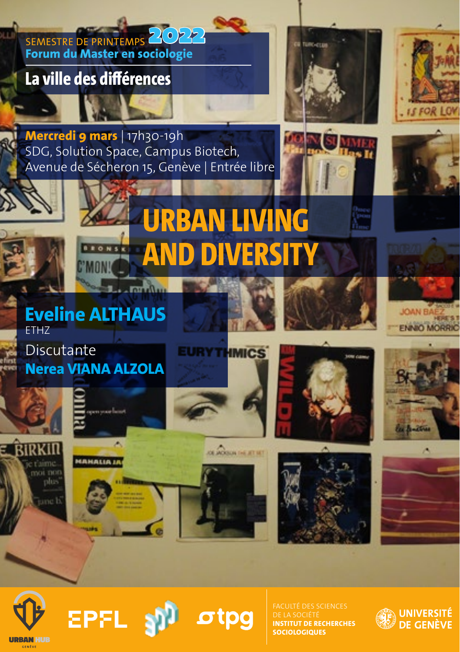

otpa

**URBAN HUR** 

**EPFL** 

**INSTITUT DE RECHERCHES SOCIOLOGIQUES**